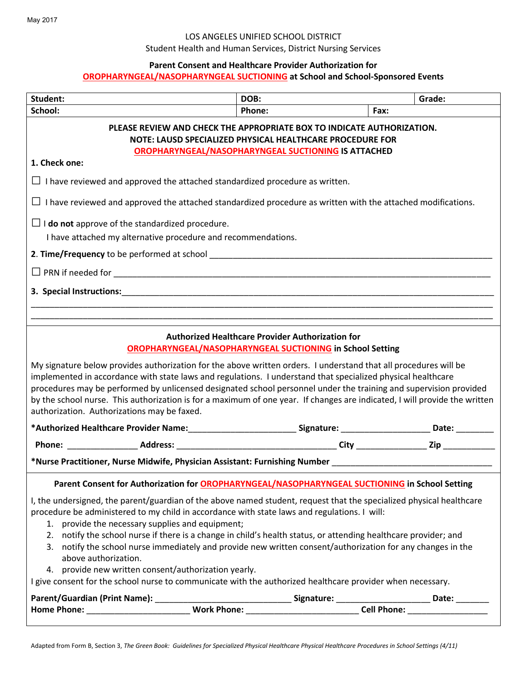## LOS ANGELES UNIFIED SCHOOL DISTRICT

Student Health and Human Services, District Nursing Services

## **Parent Consent and Healthcare Provider Authorization for**

# **OROPHARYNGEAL/NASOPHARYNGEAL SUCTIONING at School and School-Sponsored Events**

| Student:                                                                                                                                                                                                                                                                                                                                                                                                                                                                                                                           | DOB:   |      | Grade: |  |
|------------------------------------------------------------------------------------------------------------------------------------------------------------------------------------------------------------------------------------------------------------------------------------------------------------------------------------------------------------------------------------------------------------------------------------------------------------------------------------------------------------------------------------|--------|------|--------|--|
| School:                                                                                                                                                                                                                                                                                                                                                                                                                                                                                                                            | Phone: | Fax: |        |  |
| PLEASE REVIEW AND CHECK THE APPROPRIATE BOX TO INDICATE AUTHORIZATION.<br>NOTE: LAUSD SPECIALIZED PHYSICAL HEALTHCARE PROCEDURE FOR<br>OROPHARYNGEAL/NASOPHARYNGEAL SUCTIONING IS ATTACHED                                                                                                                                                                                                                                                                                                                                         |        |      |        |  |
| 1. Check one:                                                                                                                                                                                                                                                                                                                                                                                                                                                                                                                      |        |      |        |  |
| $\Box$ I have reviewed and approved the attached standardized procedure as written.                                                                                                                                                                                                                                                                                                                                                                                                                                                |        |      |        |  |
| $\Box$ I have reviewed and approved the attached standardized procedure as written with the attached modifications.                                                                                                                                                                                                                                                                                                                                                                                                                |        |      |        |  |
| $\Box$ <b>I do not</b> approve of the standardized procedure.                                                                                                                                                                                                                                                                                                                                                                                                                                                                      |        |      |        |  |
| I have attached my alternative procedure and recommendations.                                                                                                                                                                                                                                                                                                                                                                                                                                                                      |        |      |        |  |
|                                                                                                                                                                                                                                                                                                                                                                                                                                                                                                                                    |        |      |        |  |
|                                                                                                                                                                                                                                                                                                                                                                                                                                                                                                                                    |        |      |        |  |
|                                                                                                                                                                                                                                                                                                                                                                                                                                                                                                                                    |        |      |        |  |
|                                                                                                                                                                                                                                                                                                                                                                                                                                                                                                                                    |        |      |        |  |
| <b>Authorized Healthcare Provider Authorization for</b><br><b>OROPHARYNGEAL/NASOPHARYNGEAL SUCTIONING in School Setting</b>                                                                                                                                                                                                                                                                                                                                                                                                        |        |      |        |  |
| My signature below provides authorization for the above written orders. I understand that all procedures will be<br>implemented in accordance with state laws and regulations. I understand that specialized physical healthcare<br>procedures may be performed by unlicensed designated school personnel under the training and supervision provided<br>by the school nurse. This authorization is for a maximum of one year. If changes are indicated, I will provide the written<br>authorization. Authorizations may be faxed. |        |      |        |  |
| *Authorized Healthcare Provider Name:____________________________Signature: _______________________Date: __________                                                                                                                                                                                                                                                                                                                                                                                                                |        |      |        |  |
|                                                                                                                                                                                                                                                                                                                                                                                                                                                                                                                                    |        |      |        |  |
| *Nurse Practitioner, Nurse Midwife, Physician Assistant: Furnishing Number Number Number Assembly Museum Museum                                                                                                                                                                                                                                                                                                                                                                                                                    |        |      |        |  |
| Parent Consent for Authorization for OROPHARYNGEAL/NASOPHARYNGEAL SUCTIONING in School Setting                                                                                                                                                                                                                                                                                                                                                                                                                                     |        |      |        |  |
| I, the undersigned, the parent/guardian of the above named student, request that the specialized physical healthcare<br>procedure be administered to my child in accordance with state laws and regulations. I will:<br>1. provide the necessary supplies and equipment;<br>2. notify the school nurse if there is a change in child's health status, or attending healthcare provider; and<br>3. notify the school nurse immediately and provide new written consent/authorization for any changes in the                         |        |      |        |  |
| above authorization.                                                                                                                                                                                                                                                                                                                                                                                                                                                                                                               |        |      |        |  |
| 4. provide new written consent/authorization yearly.                                                                                                                                                                                                                                                                                                                                                                                                                                                                               |        |      |        |  |
| I give consent for the school nurse to communicate with the authorized healthcare provider when necessary.                                                                                                                                                                                                                                                                                                                                                                                                                         |        |      |        |  |
|                                                                                                                                                                                                                                                                                                                                                                                                                                                                                                                                    |        |      |        |  |
|                                                                                                                                                                                                                                                                                                                                                                                                                                                                                                                                    |        |      |        |  |